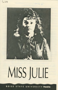

 $1001500$ 

## MISS JULIE

BOISE STATE UNIVERSITY theatre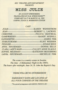#### **BSU THEATRE ARTS DEPARTMENT PRESENTS**

### **MISS JULIE**

**BY AUGUST STRINDBERG** TRANSLATED BY E.M. SPRINCHORN\*\* **FEBRUARY 24-27 & MARCH 3-6, 1993 8:00PM. STAGE II. MORRISON CENTER** 

#### **CAST**

| CLARA, LADY'S MAID------------------CALLEY ANNE SLAGLE      |  |  |
|-------------------------------------------------------------|--|--|
| SOPHIE, MILKMAID------------------------ KATIEANN SKOGSBERG |  |  |
|                                                             |  |  |

The scene is a country estate in Sweden. The time: A Midsummer Night in the 1880's. The hours after midnight, June 24, St. John the Baptist's Day.

THERE WILL BE NO INTERMISSION

**EMERGENCY EXITS ARE LOCATED AT ALL FOUR CORNERS OF THE THEATRE** 

\*\*by special arrangement with SAMUEL FRENCH, INC.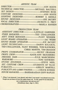#### *ARTISTIC TEAM*

| COSTUME DESIGNER----------------------------------ANN HOSTE |  |
|-------------------------------------------------------------|--|
| LIGHTING DESIGNER-------------------------ROBERT E. RIDDLE  |  |
|                                                             |  |
| VOCAL DIRECTOR------------------------------JOCELYN G. FREY |  |
|                                                             |  |

#### **PRODUCTION TEAM**

| ASSISTANT DIRECTOR------------------LAVELLE GARDNER          |                                                        |
|--------------------------------------------------------------|--------------------------------------------------------|
|                                                              | STAGE MANAGER-------------------------TED CHALLENGER   |
| ASS'T. STAGE MANAGER-------------------------FLINT WEISSER   |                                                        |
|                                                              |                                                        |
|                                                              | SOUND BOARD OPERATOR------------------------JOE JACOBY |
| LIGHT TECHNICIANS---------------------------- DARYN KOLASCH, |                                                        |
|                                                              | TED CHALLENGER, FLINT WEISSER, TONI RAYBORN,           |
|                                                              | <b>CHRIS MARTIN, TIM GRAHAM</b>                        |
|                                                              |                                                        |
|                                                              |                                                        |
| DRESSER, HAIR---------------------------JULIE MARCHESINI     |                                                        |
|                                                              |                                                        |
| STUDIO ENGINEER-------------------------------STEVE NEEL     |                                                        |
| SET. COSTUME CREW---------------STUDENTS OF TA118            |                                                        |
|                                                              |                                                        |
| PUBLICITY AND LOBBY PHOTOS----------CHUCK SCHEER             |                                                        |
| HOUSE MANAGER---------- BARBARAJEAN GOFF-RAPLEE              |                                                        |

"... When I was immoral, I was abused, and when I was moral I was abused even more. People are not born evil but life makes them evil. So life cannot be an education, nor a chastisement, but only an evil."

(Strindberg's diary, Sept. 6, 1901)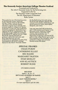#### **The Kennedy Center American College Theater Festival**

Presented and Produced by The John F. Kennedy Center for the Performing Arts Supported in Part by The Kennedy Center Corporate Fund The U.S. Department of Education Ryder System

This production is a Participating entry . in the Kennedy Center American College Theater Festival (KC/ACTF). The aims of this national theater education program are to identify and promote quality in college-level theater production. To this end, each production entered is eligible for adjudication by a regional KC/ACTF representative. The production is also eligible for inclusion at the KC/ACTF regional festival. Eight KC/ACTF regional festivals are produced nationwide each year, and from these festivals up to six productions are selected to be part of the noncompetitive KC/ACTF national festival at the John F. Kennedy Center

for the Performing Arts each spring. KC/ACTF also sponsors regional and national level awards, scholarships, and special grants for actors, playwrights, designers, and critics.

Last year more than 800 productions and 17,000 students participated in the Kennedy\_ Center American College Theater Festival nationwide. By entering this production, our department is sharing in the KC/ACTF goals to help college theater grow and to focus attention on the exemplary work produced in college and university theaters across the nation.

#### *SPECIAL THANKS:*  CRAIG PURDY CATHERINE ELLIOT BSU RADIO MARGARET PAXTON STAR MOXLEY ANN KLAUTSCH ROBERT RUDD

#### *UPCOMING EVENTS:*

BUS STOP April9- 10, 14- 17 IDT'S GALA EVENING OF DANCE April 17 IJA'S "GRAND HOTEL" April 23 For more information call 385-3981.